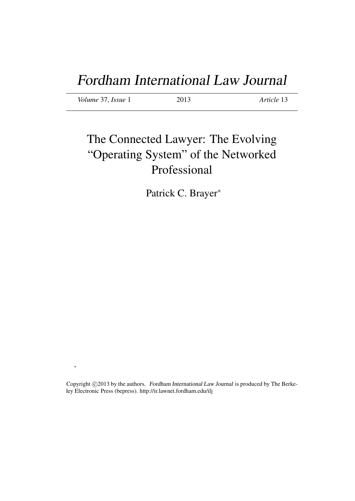# Fordham International Law Journal

*Volume* 37, *Issue* 1 2013 *Article* 13

∗

# The Connected Lawyer: The Evolving "Operating System" of the Networked Professional

Patrick C. Brayer<sup>∗</sup>

Copyright ©2013 by the authors. Fordham International Law Journal is produced by The Berkeley Electronic Press (bepress). http://ir.lawnet.fordham.edu/ilj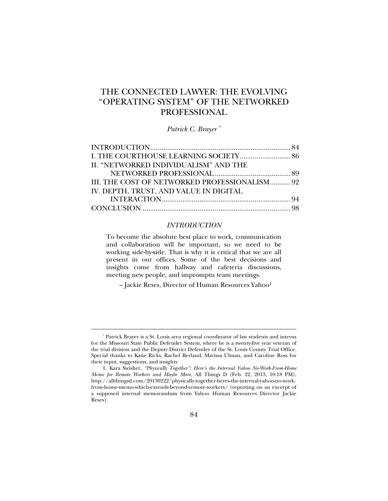# THE CONNECTED LAWYER: THE EVOLVING "OPERATING SYSTEM" OF THE NETWORKED PROFESSIONAL

*Patrick C. Brayer [\\*](#page-1-0)*

| II. "NETWORKED INDIVIDUALISM" AND THE                                                   |  |
|-----------------------------------------------------------------------------------------|--|
|                                                                                         |  |
|                                                                                         |  |
| III. THE COST OF NETWORKED PROFESSIONALISM 92<br>IV. DEPTH, TRUST, AND VALUE IN DIGITAL |  |
|                                                                                         |  |
|                                                                                         |  |
|                                                                                         |  |
|                                                                                         |  |

#### *INTRODUCTION*

To become the absolute best place to work, communication and collaboration will be important, so we need to be working side-by-side. That is why it is critical that we are all present in our offices. Some of the best decisions and insights come from hallway and cafeteria discussions, meeting new people, and impromptu team meetings.

– Jackie Reses, Director of Human Resources Yahoo[1](#page-1-1)

<span id="page-1-0"></span><sup>\*</sup> Patrick Brayer is a St. Louis area regional coordinator of law students and interns for the Missouri State Public Defender System, where he is a twenty-five year veteran of the trial division and the Deputy District Defender of the St. Louis County Trial Office. Special thanks to Katie Ricks, Rachel Berland, Marissa Ulman, and Caroline Ross for their input, suggestions, and insights.

<span id="page-1-1"></span><sup>1.</sup> Kara Swisher, *"Physically Together": Here's the Internal Yahoo No-Work-From-Home Memo for Remote Workers and Maybe More,* All Things D (Feb. 22, 2013, 10:18 PM), http://allthingsd.com/20130222/physically-together-heres-the-internal-yahoo-no-workfrom-home-memo-which-extends-beyond-remote-workers/ (reporting on an excerpt of a supposed internal memorandum from Yahoo Human Resources Director Jackie Reses).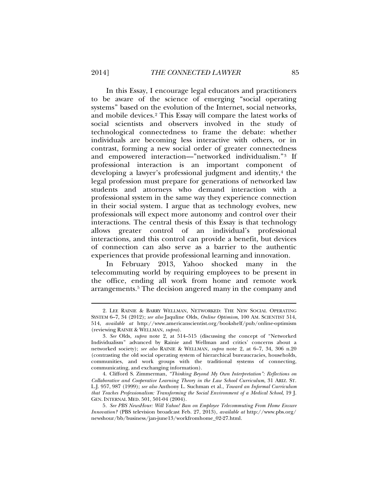In this Essay, I encourage legal educators and practitioners to be aware of the science of emerging "social operating systems" based on the evolution of the Internet, social networks, and mobile devices.[2](#page-2-0) This Essay will compare the latest works of social scientists and observers involved in the study of technological connectedness to frame the debate: whether individuals are becoming less interactive with others, or in contrast, forming a new social order of greater connectedness and empowered interaction—"networked individualism."[3](#page-2-1) If professional interaction is an important component of developing a lawyer's professional judgment and identity,<sup>[4](#page-2-2)</sup> the legal profession must prepare for generations of networked law students and attorneys who demand interaction with a professional system in the same way they experience connection in their social system. I argue that as technology evolves, new professionals will expect more autonomy and control over their interactions. The central thesis of this Essay is that technology allows greater control of an individual's professional interactions, and this control can provide a benefit, but devices of connection can also serve as a barrier to the authentic experiences that provide professional learning and innovation.

In February 2013, Yahoo shocked many in the telecommuting world by requiring employees to be present in the office, ending all work from home and remote work arrangements. [5](#page-2-3) The decision angered many in the company and

<span id="page-2-0"></span><sup>2.</sup> LEE RAINIE & BARRY WELLMAN, NETWORKED: THE NEW SOCIAL OPERATING SYSTEM 6–7, 34 (2012); *see also* Jaquline Olds, *Online Optimism*, 100 AM. SCIENTIST 514, 514, *available at* http://www.americanscientist.org/bookshelf/pub/online-optimism (reviewing RAINIE & WELLMAN, *supra*).

<span id="page-2-1"></span><sup>3</sup>*. See* Olds, *supra* note 2, at 514–515 (discussing the concept of "Networked Individualism" advanced by Rainie and Wellman and critics' concerns about a networked society); *see also* RAINIE & WELLMAN, *supra* note 2, at 6–7, 34, 306 n.20 (contrasting the old social operating system of hierarchical bureaucracies, households, communities, and work groups with the traditional systems of connecting, communicating, and exchanging information).

<span id="page-2-2"></span><sup>4.</sup> Clifford S. Zimmerman, *"Thinking Beyond My Own Interpretation": Reflections on Collaborative and Cooperative Learning Theory in the Law School Curriculum*, 31 ARIZ. ST. L.J. 957, 987 (1999); *see also* Anthony L. Suchman et al., *Toward an Informal Curriculum that Teaches Professionalism: Transforming the Social Environment of a Medical School*, 19 J. GEN. INTERNAL MED. 501, 501-04 (2004).

<span id="page-2-3"></span><sup>5</sup>*. See PBS NewsHour: Will Yahoo! Ban on Employee Telecommuting From Home Ensure Innovation?* (PBS television broadcast Feb. 27, 2013), *available at* http://www.pbs.org/ newshour/bb/business/jan-june13/workfromhome\_02-27.html.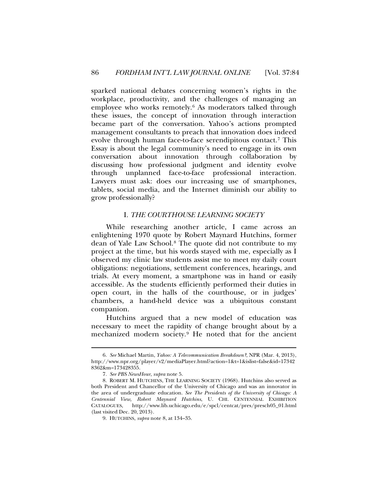sparked national debates concerning women's rights in the workplace, productivity, and the challenges of managing an employee who works remotely.[6](#page-3-0) As moderators talked through these issues, the concept of innovation through interaction became part of the conversation. Yahoo's actions prompted management consultants to preach that innovation does indeed evolve through human face-to-face serendipitous contact.[7](#page-3-1) This Essay is about the legal community's need to engage in its own conversation about innovation through collaboration by discussing how professional judgment and identity evolve through unplanned face-to-face professional interaction. Lawyers must ask: does our increasing use of smartphones, tablets, social media, and the Internet diminish our ability to grow professionally?

#### I. *THE COURTHOUSE LEARNING SOCIETY*

While researching another article, I came across an enlightening 1970 quote by Robert Maynard Hutchins, former dean of Yale Law School.[8](#page-3-2) The quote did not contribute to my project at the time, but his words stayed with me, especially as I observed my clinic law students assist me to meet my daily court obligations: negotiations, settlement conferences, hearings, and trials. At every moment, a smartphone was in hand or easily accessible. As the students efficiently performed their duties in open court, in the halls of the courthouse, or in judges' chambers, a hand-held device was a ubiquitous constant companion.

Hutchins argued that a new model of education was necessary to meet the rapidity of change brought about by a mechanized modern society. [9](#page-3-3) He noted that for the ancient

<span id="page-3-0"></span><sup>6</sup>*. See* Michael Martin, *Yahoo: A Telecommunication Breakdown?*, NPR (Mar. 4, 2013), http://www.npr.org/player/v2/mediaPlayer.html?action=1&t=1&islist=false&id=17342 8362&m=173428355.

<sup>7</sup>*. See PBS NewsHour*, *supra* note 5.

<span id="page-3-3"></span><span id="page-3-2"></span><span id="page-3-1"></span><sup>8.</sup> ROBERT M. HUTCHINS, THE LEARNING SOCIETY (1968). Hutchins also served as both President and Chancellor of the University of Chicago and was an innovator in the area of undergraduate education. *See The Presidents of the University of Chicago: A Centennial View, Robert Maynard Hutchins*, U. CHI. CENTENNIAL EXHIBITION CATALOGUES, http://www.lib.uchicago.edu/e/spcl/centcat/pres/presch05\_01.html (last visited Dec. 20, 2013).

<sup>9.</sup> HUTCHINS, *supra* note 8, at 134–35.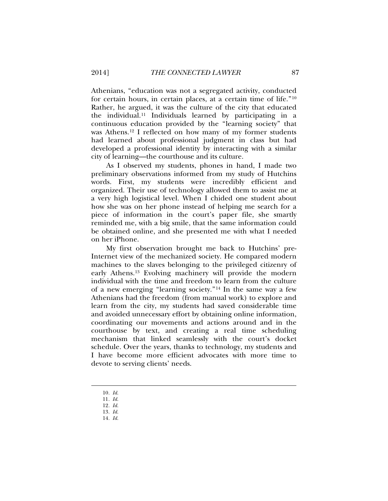Athenians, "education was not a segregated activity, conducted for certain hours, in certain places, at a certain time of life."[10](#page-4-0) Rather, he argued, it was the culture of the city that educated the individual.[11](#page-4-1) Individuals learned by participating in a continuous education provided by the "learning society" that was Athens[.12](#page-4-2) I reflected on how many of my former students had learned about professional judgment in class but had developed a professional identity by interacting with a similar city of learning—the courthouse and its culture.

As I observed my students, phones in hand, I made two preliminary observations informed from my study of Hutchins words. First, my students were incredibly efficient and organized. Their use of technology allowed them to assist me at a very high logistical level. When I chided one student about how she was on her phone instead of helping me search for a piece of information in the court's paper file, she smartly reminded me, with a big smile, that the same information could be obtained online, and she presented me with what I needed on her iPhone.

My first observation brought me back to Hutchins' pre-Internet view of the mechanized society. He compared modern machines to the slaves belonging to the privileged citizenry of early Athens.[13](#page-4-3) Evolving machinery will provide the modern individual with the time and freedom to learn from the culture of a new emerging "learning society."[14](#page-4-4) In the same way a few Athenians had the freedom (from manual work) to explore and learn from the city, my students had saved considerable time and avoided unnecessary effort by obtaining online information, coordinating our movements and actions around and in the courthouse by text, and creating a real time scheduling mechanism that linked seamlessly with the court's docket schedule. Over the years, thanks to technology, my students and I have become more efficient advocates with more time to devote to serving clients' needs.

<span id="page-4-0"></span>10*. Id.*

<sup>11</sup>*. Id.*

<span id="page-4-2"></span><span id="page-4-1"></span><sup>12</sup>*. Id.*

<span id="page-4-4"></span><span id="page-4-3"></span><sup>13</sup>*. Id.* 14*. Id.*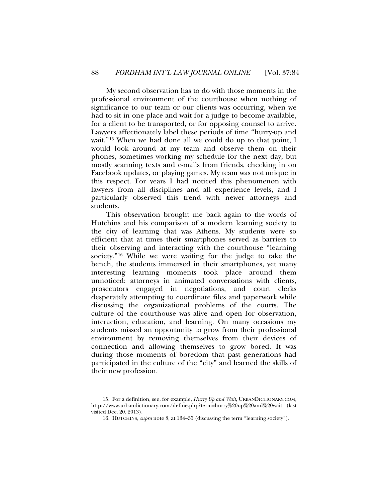My second observation has to do with those moments in the professional environment of the courthouse when nothing of significance to our team or our clients was occurring, when we had to sit in one place and wait for a judge to become available, for a client to be transported, or for opposing counsel to arrive. Lawyers affectionately label these periods of time "hurry-up and wait."[15](#page-5-0) When we had done all we could do up to that point, I would look around at my team and observe them on their phones, sometimes working my schedule for the next day, but mostly scanning texts and e-mails from friends, checking in on Facebook updates, or playing games. My team was not unique in this respect. For years I had noticed this phenomenon with lawyers from all disciplines and all experience levels, and I particularly observed this trend with newer attorneys and students.

This observation brought me back again to the words of Hutchins and his comparison of a modern learning society to the city of learning that was Athens. My students were so efficient that at times their smartphones served as barriers to their observing and interacting with the courthouse "learning society." [16](#page-5-1) While we were waiting for the judge to take the bench, the students immersed in their smartphones, yet many interesting learning moments took place around them unnoticed: attorneys in animated conversations with clients, prosecutors engaged in negotiations, and court clerks desperately attempting to coordinate files and paperwork while discussing the organizational problems of the courts. The culture of the courthouse was alive and open for observation, interaction, education, and learning. On many occasions my students missed an opportunity to grow from their professional environment by removing themselves from their devices of connection and allowing themselves to grow bored. It was during those moments of boredom that past generations had participated in the culture of the "city" and learned the skills of their new profession.

 $\overline{\phantom{a}}$ 

<span id="page-5-1"></span><span id="page-5-0"></span><sup>15.</sup> For a definition, see, for example, *Hurry Up and Wait*, URBANDICTIONARY.COM, http://www.urbandictionary.com/define.php?term=hurry%20up%20and%20wait (last visited Dec. 20, 2013).

<sup>16.</sup> HUTCHINS, *supra* note 8, at 134–35 (discussing the term "learning society").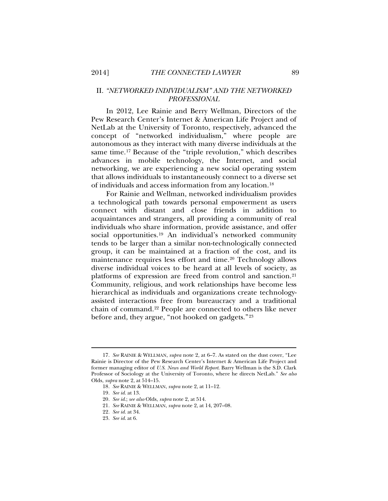## II. *"NETWORKED INDIVIDUALISM" AND THE NETWORKED PROFESSIONAL*

In 2012, Lee Rainie and Berry Wellman, Directors of the Pew Research Center's Internet & American Life Project and of NetLab at the University of Toronto, respectively, advanced the concept of "networked individualism," where people are autonomous as they interact with many diverse individuals at the same time.[17](#page-6-0) Because of the "triple revolution," which describes advances in mobile technology, the Internet, and social networking, we are experiencing a new social operating system that allows individuals to instantaneously connect to a diverse set of individuals and access information from any location.[18](#page-6-1)

For Rainie and Wellman, networked individualism provides a technological path towards personal empowerment as users connect with distant and close friends in addition to acquaintances and strangers, all providing a community of real individuals who share information, provide assistance, and offer social opportunities[.19](#page-6-2) An individual's networked community tends to be larger than a similar non-technologically connected group, it can be maintained at a fraction of the cost, and its maintenance requires less effort and time.[20](#page-6-3) Technology allows diverse individual voices to be heard at all levels of society, as platforms of expression are freed from control and sanction.[21](#page-6-4) Community, religious, and work relationships have become less hierarchical as individuals and organizations create technologyassisted interactions free from bureaucracy and a traditional chain of command.[22](#page-6-5) People are connected to others like never before and, they argue, "not hooked on gadgets."[23](#page-6-6)

<span id="page-6-3"></span><span id="page-6-2"></span><span id="page-6-1"></span><span id="page-6-0"></span><sup>17</sup>*. See* RAINIE & WELLMAN, *supra* note 2, at 6–7. As stated on the dust cover, "Lee Rainie is Director of the Pew Research Center's Internet & American Life Project and former managing editor of *U.S. News and World Report*. Barry Wellman is the S.D. Clark Professor of Sociology at the University of Toronto, where he directs NetLab." *See also* Olds, *supra* note 2, at 514–15.

<sup>18</sup>*. See* RAINIE & WELLMAN, *supra* note 2, at 11–12.

<sup>19</sup>*. See id.* at 13.

<span id="page-6-4"></span><sup>20</sup>*. See id.*; *see also* Olds, *supra* note 2, at 514.

<sup>21</sup>*. See* RAINIE & WELLMAN, *supra* note 2, at 14, 207–08.

<sup>22</sup>*. See id.* at 34.

<span id="page-6-6"></span><span id="page-6-5"></span><sup>23</sup>*. See id*. at 6.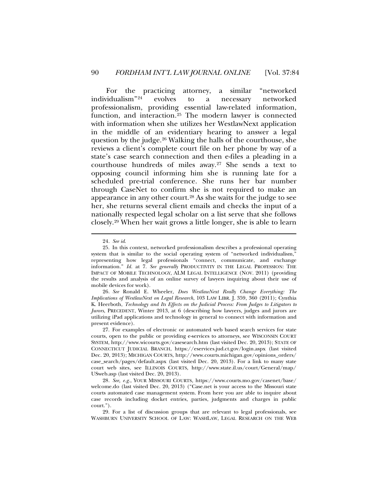For the practicing attorney, a similar "networked individualism["24](#page-7-0) evolves to a necessary networked professionalism, providing essential law-related information, function, and interaction.[25](#page-7-1) The modern lawyer is connected with information when she utilizes her WestlawNext application in the middle of an evidentiary hearing to answer a legal question by the judge.[26](#page-7-2) Walking the halls of the courthouse, she reviews a client's complete court file on her phone by way of a state's case search connection and then e-files a pleading in a courthouse hundreds of miles away.[27](#page-7-3) She sends a text to opposing council informing him she is running late for a scheduled pre-trial conference. She runs her bar number through CaseNet to confirm she is not required to make an appearance in any other court.[28](#page-7-4) As she waits for the judge to see her, she returns several client emails and checks the input of a nationally respected legal scholar on a list serve that she follows closely.[29](#page-7-5) When her wait grows a little longer, she is able to learn

<sup>24</sup>*. See id*.

<span id="page-7-1"></span><span id="page-7-0"></span><sup>25.</sup> In this context, networked professionalism describes a professional operating system that is similar to the social operating system of "networked individualism," representing how legal professionals "connect, communicate, and exchange information." *Id.* at 7. *See generally* PRODUCTIVITY IN THE LEGAL PROFESSION: THE IMPACT OF MOBILE TECHNOLOGY, ALM LEGAL INTELLIGENCE (NOV. 2011) (providing the results and analysis of an online survey of lawyers inquiring about their use of mobile devices for work).

<span id="page-7-2"></span><sup>26</sup>*. See* Ronald E. Wheeler, *Does WestlawNext Really Change Everything: The Implications of WestlawNext on Legal Research*, 103 LAW LIBR. J. 359, 360 (2011); Cynthia K. Heerboth, *Technology and Its Effects on the Judicial Process: From Judges to Litigators to Jurors*, PRECEDENT, Winter 2013, at 6 (describing how lawyers, judges and jurors are utilizing iPad applications and technology in general to connect with information and present evidence).

<span id="page-7-3"></span><sup>27.</sup> For examples of electronic or automated web based search services for state courts, open to the public or providing e-services to attorneys, see WISCONSIN COURT SYSTEM, http://www.wicourts.gov/casesearch.htm (last visited Dec. 20, 2013); STATE OF CONNECTICUT JUDICIAL BRANCH, https://eservices.jud.ct.gov/login.aspx (last visited Dec. 20, 2013); MICHIGAN COURTS, http://www.courts.michigan.gov/opinions\_orders/ case\_search/pages/default.aspx (last visited Dec. 20, 2013). For a link to many state court web sites, see ILLINOIS COURTS, http://www.state.il.us/court/General/map/ USweb.asp (last visited Dec. 20, 2013).

<span id="page-7-4"></span><sup>28</sup>*. See, e.g.*, YOUR MISSOURI COURTS, https://www.courts.mo.gov/casenet/base/ welcome.do (last visited Dec. 20, 2013) ("Case.net is your access to the Missouri state courts automated case management system. From here you are able to inquire about case records including docket entries, parties, judgments and charges in public court.").

<span id="page-7-5"></span><sup>29.</sup> For a list of discussion groups that are relevant to legal professionals, see WASHBURN UNIVERSITY SCHOOL OF LAW: WASHLAW, LEGAL RESEARCH ON THE WEB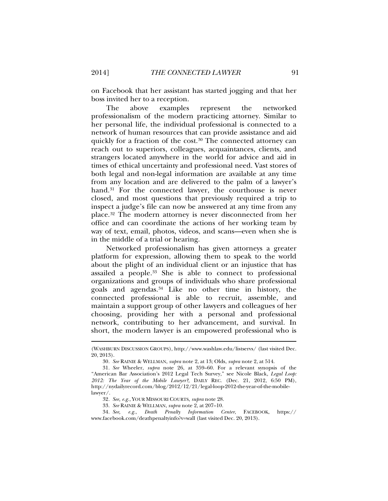on Facebook that her assistant has started jogging and that her boss invited her to a reception.

The above examples represent the networked professionalism of the modern practicing attorney. Similar to her personal life, the individual professional is connected to a network of human resources that can provide assistance and aid quickly for a fraction of the cost.<sup>[30](#page-8-0)</sup> The connected attorney can reach out to superiors, colleagues, acquaintances, clients, and strangers located anywhere in the world for advice and aid in times of ethical uncertainty and professional need. Vast stores of both legal and non-legal information are available at any time from any location and are delivered to the palm of a lawyer's hand.<sup>[31](#page-8-1)</sup> For the connected lawyer, the courthouse is never closed, and most questions that previously required a trip to inspect a judge's file can now be answered at any time from any place.[32](#page-8-2) The modern attorney is never disconnected from her office and can coordinate the actions of her working team by way of text, email, photos, videos, and scans—even when she is in the middle of a trial or hearing.

Networked professionalism has given attorneys a greater platform for expression, allowing them to speak to the world about the plight of an individual client or an injustice that has assailed a people. [33](#page-8-3) She is able to connect to professional organizations and groups of individuals who share professional goals and agendas.[34](#page-8-4) Like no other time in history, the connected professional is able to recruit, assemble, and maintain a support group of other lawyers and colleagues of her choosing, providing her with a personal and professional network, contributing to her advancement, and survival. In short, the modern lawyer is an empowered professional who is

<sup>(</sup>WASHBURN DISCUSSION GROUPS), http://www.washlaw.edu/listservs/ (last visited Dec. 20, 2013).

<sup>30</sup>*. See* RAINIE & WELLMAN, *supra* note 2, at 13; Olds, *supra* note 2, at 514.

<span id="page-8-1"></span><span id="page-8-0"></span><sup>31</sup>*. See* Wheeler, *supra* note 26, at 359–60. For a relevant synopsis of the "American Bar Association's 2012 Legal Tech Survey," see Nicole Black*, Legal Loop: 2012: The Year of the Mobile Lawyer?,* DAILY REC. (Dec. 21, 2012, 6:50 PM), http://nydailyrecord.com/blog/2012/12/21/legal-loop-2012-the-year-of-the-mobilelawyer/.

<sup>32</sup>*. See, e.g.*, YOUR MISSOURI COURTS, *supra* note 28.

<sup>33</sup>*. See* RAINIE & WELLMAN, *supra* note 2, at 207–10.

<span id="page-8-4"></span><span id="page-8-3"></span><span id="page-8-2"></span><sup>34</sup>*. See, e.g.*, *Death Penalty Information Center*, FACEBOOK, https:// www.facebook.com/deathpenaltyinfo?v=wall (last visited Dec. 20, 2013).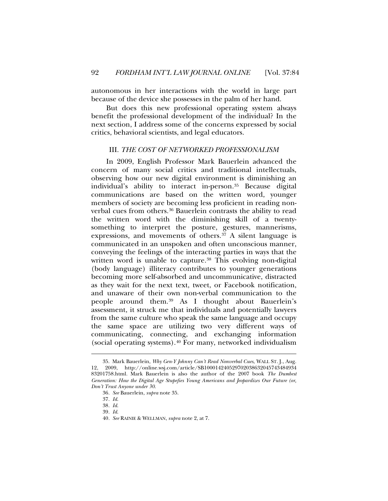autonomous in her interactions with the world in large part because of the device she possesses in the palm of her hand.

But does this new professional operating system always benefit the professional development of the individual? In the next section, I address some of the concerns expressed by social critics, behavioral scientists, and legal educators.

#### III. *THE COST OF NETWORKED PROFESSIONALISM*

In 2009, English Professor Mark Bauerlein advanced the concern of many social critics and traditional intellectuals, observing how our new digital environment is diminishing an individual's ability to interact in-person.[35](#page-9-0) Because digital communications are based on the written word, younger members of society are becoming less proficient in reading nonverbal cues from others.[36](#page-9-1) Bauerlein contrasts the ability to read the written word with the diminishing skill of a twentysomething to interpret the posture, gestures, mannerisms, expressions, and movements of others.<sup>[37](#page-9-2)</sup> A silent language is communicated in an unspoken and often unconscious manner, conveying the feelings of the interacting parties in ways that the written word is unable to capture.<sup>[38](#page-9-3)</sup> This evolving non-digital (body language) illiteracy contributes to younger generations becoming more self-absorbed and uncommunicative, distracted as they wait for the next text, tweet, or Facebook notification, and unaware of their own non-verbal communication to the people around them.[39](#page-9-4) As I thought about Bauerlein's assessment, it struck me that individuals and potentially lawyers from the same culture who speak the same language and occupy the same space are utilizing two very different ways of communicating, connecting, and exchanging information (social operating systems).[40](#page-9-5) For many, networked individualism

 $\overline{\phantom{a}}$ 

<span id="page-9-3"></span><span id="page-9-2"></span><span id="page-9-1"></span><span id="page-9-0"></span><sup>35.</sup> Mark Bauerlein, *Why Gen-Y Johnny Can't Read Nonverbal Cues*, WALL ST. J., Aug. 12, 2009, http://online.wsj.com/article/SB100014240529702038632045743484934 83201758.html. Mark Bauerlein is also the author of the 2007 book *The Dumbest Generation: How the Digital Age Stupefies Young Americans and Jeopardizes Our Future (or, Don't Trust Anyone under 30*.

<sup>36</sup>*. See* Bauerlein, *supra* note 35.

<sup>37</sup>*. Id*.

<sup>38</sup>*. Id*.

<span id="page-9-5"></span><span id="page-9-4"></span><sup>39</sup>*. Id*.

<sup>40</sup>*. See* RAINIE & WELLMAN, *supra* note 2, at 7.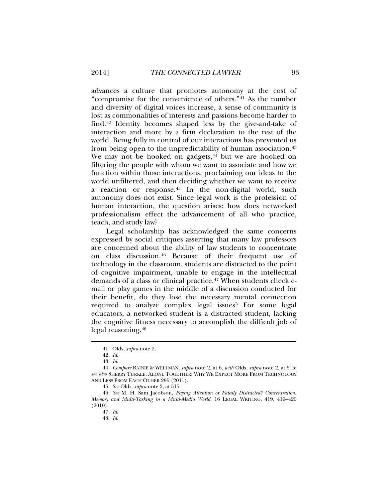advances a culture that promotes autonomy at the cost of "compromise for the convenience of others."[41](#page-10-0) As the number and diversity of digital voices increase, a sense of community is lost as commonalities of interests and passions become harder to find.[42](#page-10-1) Identity becomes shaped less by the give-and-take of interaction and more by a firm declaration to the rest of the world. Being fully in control of our interactions has prevented us from being open to the unpredictability of human association.<sup>[43](#page-10-2)</sup> We may not be hooked on gadgets, $44$  but we are hooked on filtering the people with whom we want to associate and how we function within those interactions, proclaiming our ideas to the world unfiltered, and then deciding whether we want to receive a reaction or response.[45](#page-10-4) In the non-digital world, such autonomy does not exist. Since legal work is the profession of human interaction, the question arises: how does networked professionalism effect the advancement of all who practice, teach, and study law?

Legal scholarship has acknowledged the same concerns expressed by social critiques asserting that many law professors are concerned about the ability of law students to concentrate on class discussion. [46](#page-10-5) Because of their frequent use of technology in the classroom, students are distracted to the point of cognitive impairment, unable to engage in the intellectual demands of a class or clinical practice.<sup>[47](#page-10-6)</sup> When students check email or play games in the middle of a discussion conducted for their benefit, do they lose the necessary mental connection required to analyze complex legal issues? For some legal educators, a networked student is a distracted student, lacking the cognitive fitness necessary to accomplish the difficult job of legal reasoning.[48](#page-10-7)

<sup>41.</sup> Olds, *supra* note 2.

<sup>42</sup>*. Id*.

<sup>43</sup>*. Id*.

<span id="page-10-3"></span><span id="page-10-2"></span><span id="page-10-1"></span><span id="page-10-0"></span><sup>44</sup>*. Compare* RAINIE & WELLMAN, *supra* note 2, at 6, *with* Olds, *supra* note 2, at 515; *see also* SHERRY TURKLE, ALONE TOGETHER: WHY WE EXPECT MORE FROM TECHNOLOGY AND LESS FROM EACH OTHER 295 (2011).

<sup>45</sup>*. See* Olds, *supra* note 2, at 515.

<span id="page-10-7"></span><span id="page-10-6"></span><span id="page-10-5"></span><span id="page-10-4"></span><sup>46</sup>*. See* M. H. Sam Jacobson, *Paying Attention or Fatally Distracted? Concentration, Memory and Multi-Tasking in a Multi-Media World*, 16 LEGAL WRITING, 419, 419–420 (2010).

<sup>47</sup>*. Id*.

<sup>48</sup>*. Id*.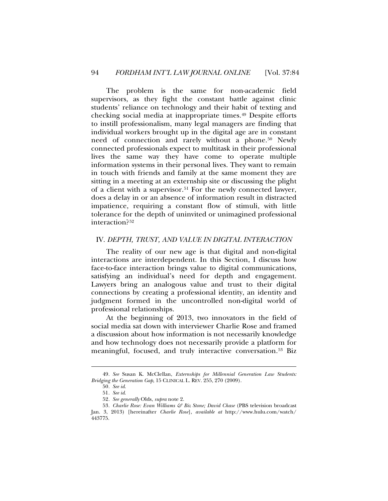The problem is the same for non-academic field supervisors, as they fight the constant battle against clinic students' reliance on technology and their habit of texting and checking social media at inappropriate times.[49](#page-11-0) Despite efforts to instill professionalism, many legal managers are finding that individual workers brought up in the digital age are in constant need of connection and rarely without a phone.[50](#page-11-1) Newly connected professionals expect to multitask in their professional lives the same way they have come to operate multiple information systems in their personal lives. They want to remain in touch with friends and family at the same moment they are sitting in a meeting at an externship site or discussing the plight of a client with a supervisor.[51](#page-11-2) For the newly connected lawyer, does a delay in or an absence of information result in distracted impatience, requiring a constant flow of stimuli, with little tolerance for the depth of uninvited or unimagined professional interaction?[52](#page-11-3)

### IV. *DEPTH, TRUST, AND VALUE IN DIGITAL INTERACTION*

The reality of our new age is that digital and non-digital interactions are interdependent. In this Section, I discuss how face-to-face interaction brings value to digital communications, satisfying an individual's need for depth and engagement. Lawyers bring an analogous value and trust to their digital connections by creating a professional identity, an identity and judgment formed in the uncontrolled non-digital world of professional relationships.

At the beginning of 2013, two innovators in the field of social media sat down with interviewer Charlie Rose and framed a discussion about how information is not necessarily knowledge and how technology does not necessarily provide a platform for meaningful, focused, and truly interactive conversation.<sup>[53](#page-11-4)</sup> Biz

<span id="page-11-1"></span><span id="page-11-0"></span><sup>49</sup>*. See* Susan K. McClellan, *Externships for Millennial Generation Law Students: Bridging the Generation Gap*, 15 CLINICAL L. REV. 255, 270 (2009).

<sup>50</sup>*. See id*.

<sup>51</sup>*. See id*.

<sup>52</sup>*. See generally* Olds, *supra* note 2.

<span id="page-11-4"></span><span id="page-11-3"></span><span id="page-11-2"></span><sup>53</sup>*. Charlie Rose: Evan Williams & Biz Stone; David Chase* (PBS television broadcast Jan. 3, 2013) [hereinafter *Charlie Rose*], *available at* http://www.hulu.com/watch/ 443775.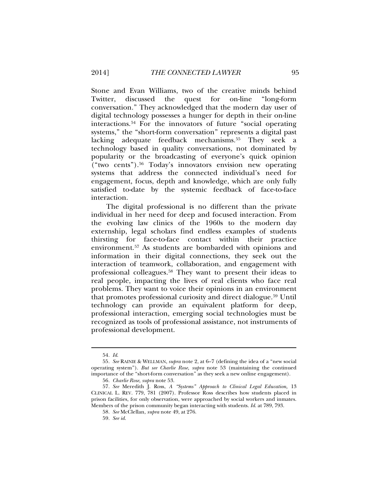Stone and Evan Williams, two of the creative minds behind Twitter, discussed the quest for on-line "long-form conversation." They acknowledged that the modern day user of digital technology possesses a hunger for depth in their on-line interactions.[54](#page-12-0) For the innovators of future "social operating systems," the "short-form conversation" represents a digital past lacking adequate feedback mechanisms.[55](#page-12-1) They seek a technology based in quality conversations, not dominated by popularity or the broadcasting of everyone's quick opinion ("two cents").[56](#page-12-2) Today's innovators envision new operating systems that address the connected individual's need for engagement, focus, depth and knowledge, which are only fully satisfied to-date by the systemic feedback of face-to-face interaction.

The digital professional is no different than the private individual in her need for deep and focused interaction. From the evolving law clinics of the 1960s to the modern day externship, legal scholars find endless examples of students thirsting for face-to-face contact within their practice environment. [57](#page-12-3) As students are bombarded with opinions and information in their digital connections, they seek out the interaction of teamwork, collaboration, and engagement with professional colleagues.[58](#page-12-4) They want to present their ideas to real people, impacting the lives of real clients who face real problems. They want to voice their opinions in an environment that promotes professional curiosity and direct dialogue.<sup>[59](#page-12-5)</sup> Until technology can provide an equivalent platform for deep, professional interaction, emerging social technologies must be recognized as tools of professional assistance, not instruments of professional development.

<sup>54</sup>*. Id*.

<span id="page-12-1"></span><span id="page-12-0"></span><sup>55</sup>*. See* RAINIE & WELLMAN, *supra* note 2, at 6–7 (defining the idea of a "new social operating system"). *But see Charlie Rose*, *supra* note 53 (maintaining the continued importance of the "short-form conversation" as they seek a new online engagement).

<sup>56</sup>*. Charlie Rose*, *supra* note 53.

<span id="page-12-5"></span><span id="page-12-4"></span><span id="page-12-3"></span><span id="page-12-2"></span><sup>57</sup>*. See* Meredith J. Ross, *A "Systems" Approach to Clinical Legal Education,* 13 CLINICAL L. REV. 779, 781 (2007). Professor Ross describes how students placed in prison facilities, for only observation, were approached by social workers and inmates. Members of the prison community began interacting with students. *Id*. at 789, 793.

<sup>58</sup>*. See* McClellan, *supra* note 49, at 276.

<sup>59</sup>*. See id*.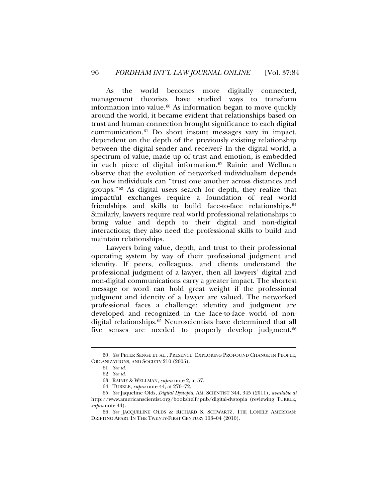As the world becomes more digitally connected, management theorists have studied ways to transform information into value.[60](#page-13-0) As information began to move quickly around the world, it became evident that relationships based on trust and human connection brought significance to each digital communication.[61](#page-13-1) Do short instant messages vary in impact, dependent on the depth of the previously existing relationship between the digital sender and receiver? In the digital world, a spectrum of value, made up of trust and emotion, is embedded in each piece of digital information.[62](#page-13-2) Rainie and Wellman observe that the evolution of networked individualism depends on how individuals can "trust one another across distances and groups."[63](#page-13-3) As digital users search for depth, they realize that impactful exchanges require a foundation of real world friendships and skills to build face-to-face relationships.<sup>[64](#page-13-4)</sup> Similarly, lawyers require real world professional relationships to bring value and depth to their digital and non-digital interactions; they also need the professional skills to build and maintain relationships.

Lawyers bring value, depth, and trust to their professional operating system by way of their professional judgment and identity. If peers, colleagues, and clients understand the professional judgment of a lawyer, then all lawyers' digital and non-digital communications carry a greater impact. The shortest message or word can hold great weight if the professional judgment and identity of a lawyer are valued. The networked professional faces a challenge: identity and judgment are developed and recognized in the face-to-face world of nondigital relationships. [65](#page-13-5) Neuroscientists have determined that all five senses are needed to properly develop judgment.<sup>[66](#page-13-6)</sup>

<span id="page-13-2"></span><span id="page-13-1"></span><span id="page-13-0"></span><sup>60</sup>*. See* PETER SENGE ET AL., PRESENCE: EXPLORING PROFOUND CHANGE IN PEOPLE, ORGANIZATIONS, AND SOCIETY 210 (2005).

<sup>61</sup>*. See id*.

<sup>62</sup>*. See id*.

<sup>63.</sup> RAINIE & WELLMAN, *supra* note 2, at 57.

<sup>64.</sup> TURKLE, *supra* note 44, at 270–72.

<span id="page-13-5"></span><span id="page-13-4"></span><span id="page-13-3"></span><sup>65</sup>*. See* Jaqueline Olds, *Digital Dystopia*, AM. SCIENTIST 344, 345 (2011), *available at* http://www.americanscientist.org/bookshelf/pub/digital-dystopia (reviewing TURKLE, *supra* note 44).

<span id="page-13-6"></span><sup>66</sup>*. See* JACQUELINE OLDS & RICHARD S. SCHWARTZ, THE LONELY AMERICAN: DRIFTING APART IN THE TWENTY-FIRST CENTURY 103–04 (2010).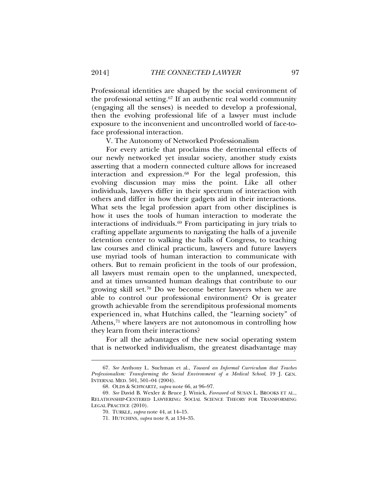Professional identities are shaped by the social environment of the professional setting.[67](#page-14-0) If an authentic real world community (engaging all the senses) is needed to develop a professional, then the evolving professional life of a lawyer must include exposure to the inconvenient and uncontrolled world of face-toface professional interaction.

V. The Autonomy of Networked Professionalism

For every article that proclaims the detrimental effects of our newly networked yet insular society, another study exists asserting that a modern connected culture allows for increased interaction and expression.[68](#page-14-1) For the legal profession, this evolving discussion may miss the point. Like all other individuals, lawyers differ in their spectrum of interaction with others and differ in how their gadgets aid in their interactions. What sets the legal profession apart from other disciplines is how it uses the tools of human interaction to moderate the interactions of individuals.[69](#page-14-2) From participating in jury trials to crafting appellate arguments to navigating the halls of a juvenile detention center to walking the halls of Congress, to teaching law courses and clinical practicum, lawyers and future lawyers use myriad tools of human interaction to communicate with others. But to remain proficient in the tools of our profession, all lawyers must remain open to the unplanned, unexpected, and at times unwanted human dealings that contribute to our growing skill set.[70](#page-14-3) Do we become better lawyers when we are able to control our professional environment? Or is greater growth achievable from the serendipitous professional moments experienced in, what Hutchins called, the "learning society" of Athens,<sup>[71](#page-14-4)</sup> where lawyers are not autonomous in controlling how they learn from their interactions?

For all the advantages of the new social operating system that is networked individualism, the greatest disadvantage may

<span id="page-14-0"></span><sup>67</sup>*. See* Anthony L. Suchman et al., *Toward an Informal Curriculum that Teaches Professionalism: Transforming the Social Environment of a Medical School*, 19 J. GEN. INTERNAL MED. 501, 501–04 (2004).

<sup>68.</sup> OLDS & SCHWARTZ, *supra* note 66, at 96–97.

<span id="page-14-4"></span><span id="page-14-3"></span><span id="page-14-2"></span><span id="page-14-1"></span><sup>69</sup>*. See* David B. Wexler & Bruce J. Winick, *Foreword* of SUSAN L. BROOKS ET AL., RELATIONSHIP-CENTERED LAWYERING: SOCIAL SCIENCE THEORY FOR TRANSFORMING LEGAL PRACTICE (2010).

<sup>70.</sup> TURKLE, *supra* note 44, at 14–15.

<sup>71.</sup> HUTCHINS, *supra* note 8, at 134–35.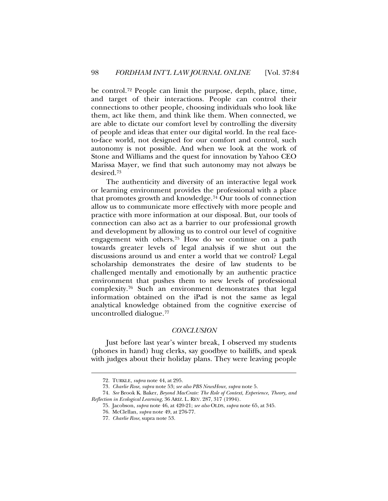be control.[72](#page-15-0) People can limit the purpose, depth, place, time, and target of their interactions. People can control their connections to other people, choosing individuals who look like them, act like them, and think like them. When connected, we are able to dictate our comfort level by controlling the diversity of people and ideas that enter our digital world. In the real faceto-face world, not designed for our comfort and control, such autonomy is not possible. And when we look at the work of Stone and Williams and the quest for innovation by Yahoo CEO Marissa Mayer, we find that such autonomy may not always be desired.[73](#page-15-1)

The authenticity and diversity of an interactive legal work or learning environment provides the professional with a place that promotes growth and knowledge.[74](#page-15-2) Our tools of connection allow us to communicate more effectively with more people and practice with more information at our disposal. But, our tools of connection can also act as a barrier to our professional growth and development by allowing us to control our level of cognitive engagement with others.[75](#page-15-3) How do we continue on a path towards greater levels of legal analysis if we shut out the discussions around us and enter a world that we control? Legal scholarship demonstrates the desire of law students to be challenged mentally and emotionally by an authentic practice environment that pushes them to new levels of professional complexity[.76](#page-15-4) Such an environment demonstrates that legal information obtained on the iPad is not the same as legal analytical knowledge obtained from the cognitive exercise of uncontrolled dialogue.[77](#page-15-5)

### *CONCLUSION*

Just before last year's winter break, I observed my students (phones in hand) hug clerks, say goodbye to bailiffs, and speak with judges about their holiday plans. They were leaving people

<span id="page-15-0"></span> $\overline{\phantom{a}}$ 

<sup>72.</sup> TURKLE, *supra* note 44, at 295.

<sup>73</sup>*. Charlie Rose*, *supra* note 53; *see also PBS NewsHour*, *supra* note 5.

<span id="page-15-5"></span><span id="page-15-4"></span><span id="page-15-3"></span><span id="page-15-2"></span><span id="page-15-1"></span><sup>74</sup>*. See* Brook K. Baker, *Beyond MacCrate: The Role of Context, Experience, Theory, and Reflection in Ecological Learning*, 36 ARIZ. L. REV. 287, 317 (1994).

<sup>75.</sup> Jacobson, *supra* note 46, at 420-21; *see also* OLDS, *supra* note 65, at 345.

<sup>76.</sup> McClellan, *supra* note 49, at 276-77.

<sup>77</sup>*. Charlie Rose*, supra note 53.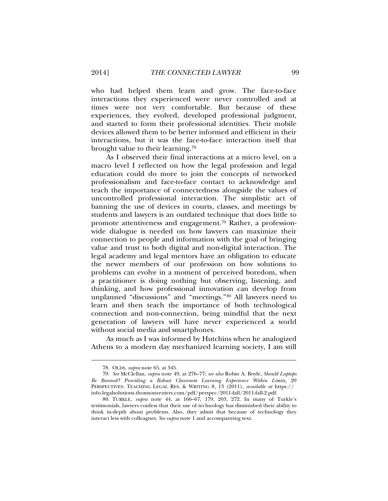who had helped them learn and grow. The face-to-face interactions they experienced were never controlled and at times were not very comfortable. But because of these experiences, they evolved, developed professional judgment, and started to form their professional identities. Their mobile devices allowed them to be better informed and efficient in their interactions, but it was the face-to-face interaction itself that brought value to their learning.[78](#page-16-0)

As I observed their final interactions at a micro level, on a macro level I reflected on how the legal profession and legal education could do more to join the concepts of networked professionalism and face-to-face contact to acknowledge and teach the importance of connectedness alongside the values of uncontrolled professional interaction. The simplistic act of banning the use of devices in courts, classes, and meetings by students and lawyers is an outdated technique that does little to promote attentiveness and engagement.[79](#page-16-1) Rather, a professionwide dialogue is needed on how lawyers can maximize their connection to people and information with the goal of bringing value and trust to both digital and non-digital interaction. The legal academy and legal mentors have an obligation to educate the newer members of our profession on how solutions to problems can evolve in a moment of perceived boredom, when a practitioner is doing nothing but observing, listening, and thinking, and how professional innovation can develop from unplanned "discussions" and "meetings."[80](#page-16-2) All lawyers need to learn and then teach the importance of both technological connection and non-connection, being mindful that the next generation of lawyers will have never experienced a world without social media and smartphones.

As much as I was informed by Hutchins when he analogized Athens to a modern day mechanized learning society, I am still

<sup>78.</sup> OLDS, *supra* note 65, at 345.

<span id="page-16-1"></span><span id="page-16-0"></span><sup>79</sup>*. See* McClellan, *supra* note 49, at 276–77; *see also* Robin A. Boyle, *Should Laptops Be Banned? Providing a Robust Classroom Learning Experience Within Limits,* 20 PERSPECTIVES: TEACHING LEGAL RES. & WRITING 8, 13 (2011), *available at* https:// info.legalsolutions.thomsonreuters.com/pdf/perspec/2011-fall/2011-fall-2.pdf.

<span id="page-16-2"></span><sup>80.</sup> TURKLE, *supra* note 44, at 166–67, 179, 203, 272. In many of Turkle's testimonials, lawyers confess that their use of technology has diminished their ability to think in-depth about problems. Also, they admit that because of technology they interact less with colleagues. *See supra* note 1 and accompanying text.